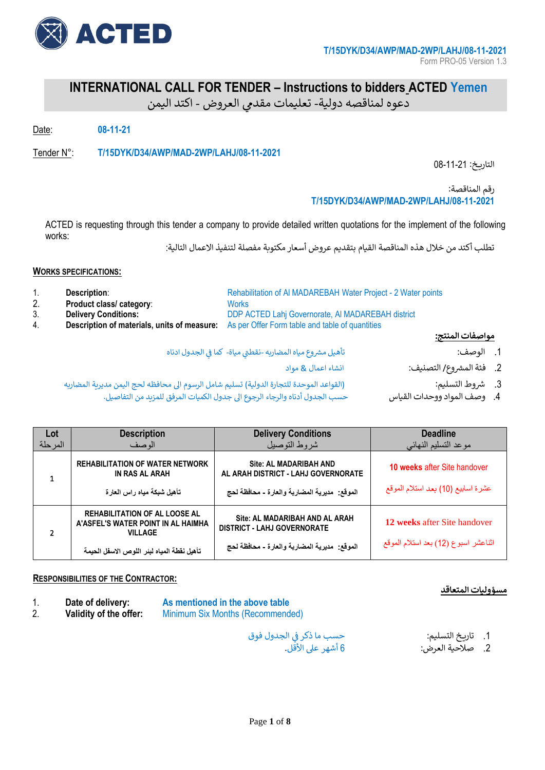

**INTERNATIONAL CALL FOR TENDER – Instructions to bidders ACTED Yemen**

دعوه لمناقصه دولية- تعليمات مقدمي العروض - اكتد اليمن

Date: **08-11-21**

Tender N°: **T/15DYK/D34/AWP/MAD-2WP/LAHJ/08-11-2021**

التاري خ: 08-11-21

رقم المناقصة: **T/15DYK/D34/AWP/MAD-2WP/LAHJ/08-11-2021**

ACTED is requesting through this tender a company to provide detailed written quotations for the implement of the following works:

تطلب أكتد من خالل هذه المناقصة القيام بتقديم عروض أسعار مكتوبة مفصلة لتنفيذ االعمال التالية:

#### **WORKS SPECIFICATIONS:**

- 1. **Description**: **Network** Rehabilitation of Al MADAREBAH Water Project 2 Water points 2. **Product class/ category**: **Works**<br> **2. Delivery Conditions: DDP** A DDP ACTED Lahj Governorate, Al MADAREBAH district 4. **Description of materials, units of measure:** As per Offer Form table and table of quantities **مواصفات المنتج:**
	- 1. الوصف: مشروع مياه المضاربه -نقطتي مياة- كما في الجدول ادناه ي ي į
		- 2. فئة المشروع/ التصنيف: انشاء اعمال & مواد

(القواعد الموحدة للتجارة الدولية) تسليم شامل الرسوم الى محافظه لحج اليمن مديرية المضاربه 4. وصف المواد ووحدات القياس حسب الجدول أدناه والرجاء الرجوع الى جدول الكميات المرفق للمزيد من التفاصيل.

**Lot** المرحلة **Description**  الوصف **Delivery Conditions** شروط التوصيل **Deadline** موعد التسليم النهائي 1 **REHABILITATION OF WATER NETWORK IN RAS AL ARAH تأهيل شبكة مياه راس العارة Site: AL MADARIBAH AND AL ARAH DISTRICT - LAHJ GOVERNORATE الموقع: مديرية المضاربة والعارة - محافظة لحج 10 weeks** after Site handover عشرة اسابيع (10) بعد استلام الموقع 2 **REHABILITATION OF AL LOOSE AL A'ASFEL'S WATER POINT IN AL HAIMHA VILLAGE تأهيل نقطة المياه لبئر اللوص االسفل الحيمة Site: AL MADARIBAH AND AL ARAH DISTRICT - LAHJ GOVERNORATE الموقع: مديرية المضاربة والعارة - محافظة لحج 12 weeks** after Site handover اثناعشر اسبوع )12( بعد استالم الموقع

## **RESPONSIBILITIES OF THE CONTRACTOR:**

**مسؤوليات المتعاقد** 

- 1. **Date of delivery: As mentioned in the above table** 2. **Validity of the offer:** Minimum Six Months (Recommended)
	- ي .1 تاري خ التسليم: الجدول فوق حسب ما ذكرف
		- 2. صلاحية العرض:

֦֧֦֦֦֦֦֡֡

- - 3. شروط التسليم:
-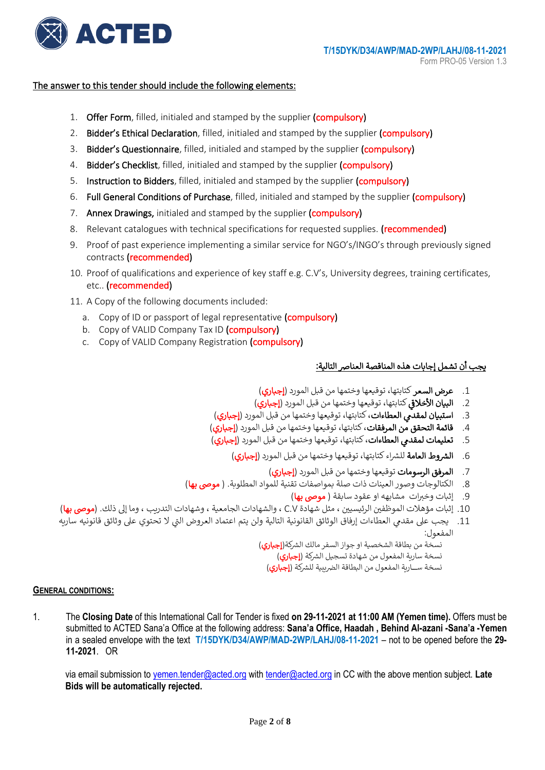

# The answer to this tender should include the following elements:

- 1. Offer Form, filled, initialed and stamped by the supplier (compulsory)
- 2. Bidder's Ethical Declaration, filled, initialed and stamped by the supplier (compulsory)
- 3. Bidder's Questionnaire, filled, initialed and stamped by the supplier (compulsory)
- 4. Bidder's Checklist, filled, initialed and stamped by the supplier (compulsory)
- 5. Instruction to Bidders, filled, initialed and stamped by the supplier (compulsory)
- 6. Full General Conditions of Purchase, filled, initialed and stamped by the supplier (compulsory)
- 7. Annex Drawings, initialed and stamped by the supplier (compulsory)
- 8. Relevant catalogues with technical specifications for requested supplies. (recommended)
- 9. Proof of past experience implementing a similar service for NGO's/INGO's through previously signed contracts (recommended)
- 10. Proof of qualifications and experience of key staff e.g. C.V's, University degrees, training certificates, etc.. (recommended)
- 11. A Copy of the following documents included:
	- a. Copy of ID or passport of legal representative (compulsory)
	- b. Copy of VALID Company Tax ID (compulsory)
	- c. Copy of VALID Company Registration (compulsory)

# يجب أن تشمل إجابات هذه المناقصة العنارص التالية :

- 1. **عرض السعر** كتابتها، توقيعها وختمها من قبل المورد (**إجباري)**
- 2. ا**لبيان الأخلاقي** كتابتها، توقيعها وختمها من قبل المورد (**إجباري**) i
- 3. ا**ستبيان لمقدمي العطاءات**، كتابتها، توقيعها وختمها من قبل المورد (**إجباري**)
- 4. **قائمة التحقق من المرفقات**، كتابتها، توقيعها وختمها من قبل المورد (إ**جباري**)
- 5. **تعليمات لمقدمي العطاءات،** كتابتها، توقيعها وختمها من قبل المورد (**إجباري**)
	- 6. الشروط العامة للشراء كتابتها، توقيعها وختمها من قبل المورد (إجباري)
		- 7. المرفق الرسومات توقيعها وختمها من قبل المورد (إجباري)
- 8. الكتالوجات وصور العينات ذات صلة بمواصفات تقنية للمواد المطلوبة. ( **موصى بها**)
	- 9. إثبات وخبرات مشابهه او عقود سابقة (موصى بها)
- 10. إثبات مؤهلات الموظفين الرئيسيين ، مثل شهادة C.V ، والشهادات الجامعية ، وشهادات التدريب ، وما إلى ذلك. **(موصى بها)** ن
- 11. يجب على مقدمي العطاءات إرفاق الوثائق القانونية التالية ولن يتم اعتماد العروض التي لا تحتوي على وثائق قانونيه ساريه المفعول:

نسخة من بطاقة الشخصية او جواز السفر مالك الشركة(**إجباري)** نسخة سارية المفعول من شهادة تسجيل الشركة (**إجباري)** نسخة ســارية المفعول من البطاقة الضريبية للشركة (**إجباري)** 

## **GENERAL CONDITIONS:**

1. The **Closing Date** of this International Call for Tender is fixed **on 29-11-2021 at 11:00 AM (Yemen time).** Offers must be submitted to ACTED Sana'a Office at the following address: **Sana'a Office, Haadah , Behind Al-azani -Sana'a -Yemen** in a sealed envelope with the text **T/15DYK/D34/AWP/MAD-2WP/LAHJ/08-11-2021** – not to be opened before the **29- 11-2021**.OR

via email submission to [yemen.tender@acted.org](mailto:yemen.tender@acted.org) with [tender@acted.org](mailto:tender@acted.org) in CC with the above mention subject. **Late Bids will be automatically rejected.**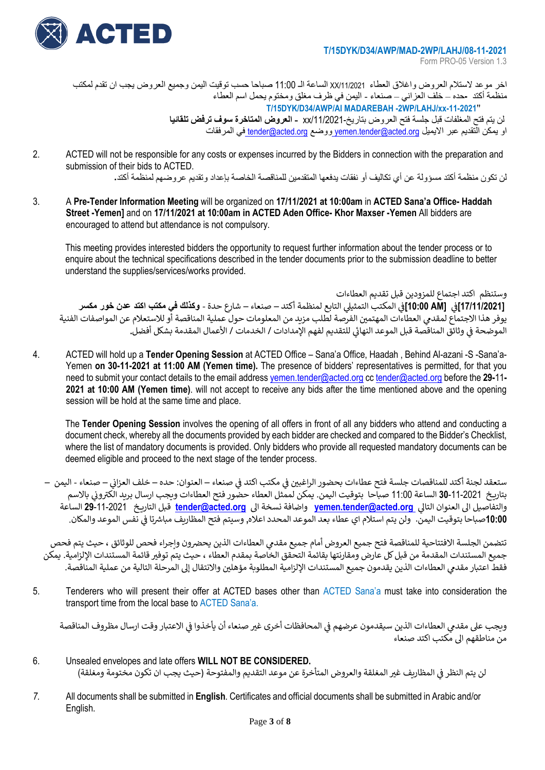

# **T/15DYK/D34/AWP/MAD-2WP/LAHJ/08-11-2021**

Form PRO-05 Version 1.3

اخر موعد الستالم العروض واغالق العطاء /11/2021XX الساعة الـ 11:00 صباحا حسب توقيت اليمن وجميع العروض يجب ان تقدم لمكتب منظمة أكتد **-**حده – خلف العزاني – صنعاء - اليمن في ظرف مغلق ومختوم يحمل اسم العطاء **T/15DYK/D34/AWP/Al MADAREBAH -2WP/LAHJ/xx-11-2021**"

لن يتم فتح المغلفات قبل جلسة فتح العروض بتاريخ/11/2021-xx **- العروض المتاخرة سوف ترفض تلقائيا**  او يمكن التقديم عبر االيميل [org.acted@tender.yemen](mailto:yemen.tender@acted.org) ووضع [org.acted@tender](mailto:tender@acted.org) في المرفقات

2. ACTED will not be responsible for any costs or expenses incurred by the Bidders in connection with the preparation and submission of their bids to ACTED.

لن تكون منظمة أكتد مسؤولة عن أي تكاليف أو نفقات يدفعها المتقدمين للمناقصة الخاصة بإعداد وتقديم عروضهم لمنظمة أكت د**.**

3. A **Pre-Tender Information Meeting** will be organized on **17/11/2021 at 10:00am** in **ACTED Sana'a Office- Haddah Street -Yemen]** and on **17/11/2021 at 10:00am in ACTED Aden Office- Khor Maxser -Yemen** All bidders are encouraged to attend but attendance is not compulsory.

This meeting provides interested bidders the opportunity to request further information about the tender process or to enquire about the technical specifications described in the tender documents prior to the submission deadline to better understand the supplies/services/works provided.

## وستنظم اكتد اجتماع للمزودين قبل تقديم العطاءات

**[17/11/2021]**  يىل التابع لمنظمة أكتد المكتب التمثي ف **[AM 10:00[** ف – صنعاء – شارع حدة - **وكذلك في مكتب اكتد عدن خور مكسر**  ي : ي į يوفر هذا الاجتماع لمقدمي العطاءات المهتمين الفرصة لطلب مزيد من المعلومات حول عملية المناقصة أو للاستعلام عن المواصفات الفنية .<br>الموضحة في وثائق المناقصة قبل الموعد النهائي للتقديم لفهم الإمدادات / الخدمات / الأعمال المقدمة بشكل أفضل<mark>.</mark> ي .<br>:

4. ACTED will hold up a **Tender Opening Session** at ACTED Office – Sana'a Office, Haadah , Behind Al-azani -S -Sana'a-Yemen **on 30-11-2021 at 11:00 AM (Yemen time).** The presence of bidders' representatives is permitted, for that you need to submit your contact details to the email address [yemen.tender@acted.org](mailto:yemen.tender@acted.org) c[c tender@acted.org](mailto:tender@acted.org) before the **29-**11**- 2021 at 10:00 AM (Yemen time)**. will not accept to receive any bids after the time mentioned above and the opening session will be hold at the same time and place.

The **Tender Opening Session** involves the opening of all offers in front of all any bidders who attend and conducting a document check, whereby all the documents provided by each bidder are checked and compared to the Bidder's Checklist, where the list of mandatory documents is provided. Only bidders who provide all requested mandatory documents can be deemed eligible and proceed to the next stage of the tender process.

ي l ستعقد لجنة أكتد للمناقصات جلسة فتح عطاءات بحضور الراغبين في مكتب اكتد في صنعاء – العنوان: حده – خلف العزاني – صنعاء - اليمن –<br>ستعقد لجنة أكتد للمناقصات l : ر.<br>بتاريخ 12021-1**0-30** الساعة 11:00 صباحا بتوقيت اليمن. يمكن لممثل العطاء حضور فتح العطاءات ويجب ارسال بريد الكتروني بالاسم ي والتفاصيل الى العنوان التالي <u>vemen.tender@acted.org</u> واضافة نسخة الى <u>tender@acted.org</u> قبل التاريخ 2021-11-29 الساعة<br>مع 10:00صباحاً بتوقيت اليمن. ولن يتم استلام اي عطاء بعد الموعد المحدد اعلاه, وسيتم فتح المظاريف مباشرتا في نفس الموعد والمكان.<br>10:00صباحاً بتوقيت اليمن. :

تتضمن الجلسة الافتتاحية للمناقصة فتح جميع العروض أمام جميع مقدمي العطاءات الذين يحضرون وإجراء فحص للوثائق ، حيث يتم فحص<br>-جميع المستندات المقدمة من قبل كل عارض ومقارنتها بقائمة التحقق الخاصة بمقدم العطاء ، حيث يتم توفير قائمة المستندات الإلزامية. يمكن فقط اعتبار مقدمي العطاءات الذين يقدمون جميع المستندات الإلزامية المطلوبة مؤهلين والانتقال إلى المرحلة التالية من عملية المناقصة.

5. Tenderers who will present their offer at ACTED bases other than ACTED Sana'a must take into consideration the transport time from the local base to ACTED Sana'a.

ي į ويجب على مقدمي العطاءات الذين سيقدمون عرضهم في المحافظات أخرى غير صنعاء أن يأخذوا في الاعتبار وقت ارسال مظروف المناقصة l من مناطقهم اىل مكتب اكتد صنعاء

- 6. Unsealed envelopes and late offers **WILL NOT BE CONSIDERED.** لن يتم النظر في المظاريف غير المغلقة والعروض المتأخرة عن موعد التقديم والمفتوحة (حيث يجب ان تكون مختومة ومغلقة) ي į
- *7.* All documents shall be submitted in **English**. Certificates and official documents shall be submitted in Arabic and/or English.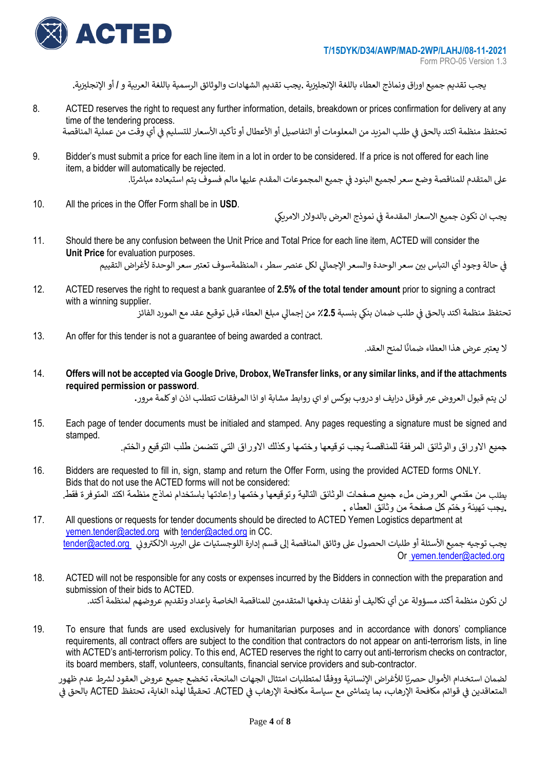

يجب تقديم جميع اوراق ونماذج العطاء باللغة الإنجليزية .يجب تقديم الشهادات والوثائق الرسمية باللغة العربية و **/** أو الإنجليزية. ֢֢֢֧֢ׅ֪֪ׅ֪֪֪֚֚֚֚֚֚֚֚֚֚֚֡֡֜֡֜֝֜֡֜֜֓֡֡֡֝֓֡֡

- 8. ACTED reserves the right to request any further information, details, breakdown or prices confirmation for delivery at any time of the tendering process. تحتفظ منظمة اكتد بالحق في طلب المزيد من المعلومات أو التفاصيل أو الأعطال أو تأكيد الأسعار للتسليم في أي وقت من عملية المناقصة ي : :
- 9. Bidder's must submit a price for each line item in a lot in order to be considered. If a price is not offered for each line item, a bidder will automatically be rejected.

على المتقدم للمناقصة وضع سعر لجميع البنود في جميع المجموعات المقدم عليها مالم فسوفٌ يتم استبعاده مباشرتا. :

10. All the prices in the Offer Form shall be in **USD**.

يجب ان تكون جميع الاسعار المقدمة في نموذج العرض بالدولار الامريكي ي

- 11. Should there be any confusion between the Unit Price and Total Price for each line item, ACTED will consider the **Unit Price** for evaluation purposes. في حالة وجود أي التباس بين سعر الوحدة والسعر الإجمالي لكل عنصر سطر ، المنظمةسوف تعتبر سعر الوحدة لأغراض التقييم<br>.
- 12. ACTED reserves the right to request a bank guarantee of **2.5% of the total tender amount** prior to signing a contract with a winning supplier. تحتفظ منظمة اكتد بالحق في طلب ضمان بنكي بنسبة 2.**5٪** من إجمالي مبلغ العطاء قبل توقيع عقد مع المورد الفائز ė
- 13. An offer for this tender is not a guarantee of being awarded a contract.

لا يعتبر عرض هذا العطاء ضمانًا لمنح العقد.

ي ė

14. **Offers will not be accepted via Google Drive, Drobox, WeTransfer links, or any similar links, and if the attachments required permission or password**.

لن يتم قبول العروض عرت قوقل درايف او دروب بوكس او اي روابط مشابة او اذا المرفقات تتطلب اذن او كلمة مرور**.**

15. Each page of tender documents must be initialed and stamped. Any pages requesting a signature must be signed and stamped.

جميع االوراق والوثائق المرفقة للمناقصة يجب توقيعها وختمها وكذلك االوراق التي تتضمن طلب التوقيع والختم.

- 16. Bidders are requested to fill in, sign, stamp and return the Offer Form, using the provided ACTED forms ONLY. Bids that do not use the ACTED forms will not be considered: يطلب من مقدمي العروض ملء جميع صفحات الوثائق التالية وتوقيعها وختمها وإعادتها باستخدام نماذج منظمة اكتد المتوفرة فقط. **.**يجب تهيئة وختم كل صفحة من وثائق العطاء **.**
- 17. All questions or requests for tender documents should be directed to ACTED Yemen Logistics department at [yemen.tender@acted.org](mailto:yemen.tender@acted.org) wit[h tender@acted.org](mailto:tender@acted.org) in CC. يجب توجيه جميع األسئلة أو طلبات الحصول عىل وثائق المناقصة إىل قسم إدارة اللوجستيات عىل الرتيد وئ [tender@acted.org](mailto:tender@acted.org) االلكت ي Or [yemen.tender@acted.org](mailto:yemen.tender@acted.org)
- 18. ACTED will not be responsible for any costs or expenses incurred by the Bidders in connection with the preparation and submission of their bids to ACTED. لن تكون منظمة أكتد مسؤولة عن أي تكاليف أو نفقات يدفعها المتقدمين للمناقصة الخاصة بإعداد وتقديم عروضهم لمنظمة أكتد.
- 19. To ensure that funds are used exclusively for humanitarian purposes and in accordance with donors' compliance requirements, all contract offers are subject to the condition that contractors do not appear on anti-terrorism lists, in line with ACTED's anti-terrorism policy. To this end, ACTED reserves the right to carry out anti-terrorism checks on contractor, its board members, staff, volunteers, consultants, financial service providers and sub-contractor.

ً.<br>لضمان استخدام الأموال حصريًا للأغراض الإنسانية ووفقًا لمتطلبات امتثال الجهات المانحة، تخضع جميع عروض العقود لشرط عدم ظهور تحتيق المتعاقد الرسون تصري ترترين المساعة الرزيعة للمتعام بالمتعن الجانب المتعام المعلمي بسبي ترزين العنوة سار<br>المتعاقدين في قوائم مكافحة الإرهاب، بما يتماشى مع سياسة مكافحة الإرهاب في ACTED. تحقيقًا لهذه الغاية، تحتفظ AC ي ė ي ֧֦֧֦֧֦֧֦֧֦֧֦֧֦֧֧֦֧֦֧֚֬֜֜֓ ي ׅ֧֚֚֚֚֚֚֚֚֚֚֚֚֚֚֚֚֚֚֚֚֚֚֚֚֚֚֚֚֚֚֚֚֡֡֡֡֓֡֡֬֓֡֡֬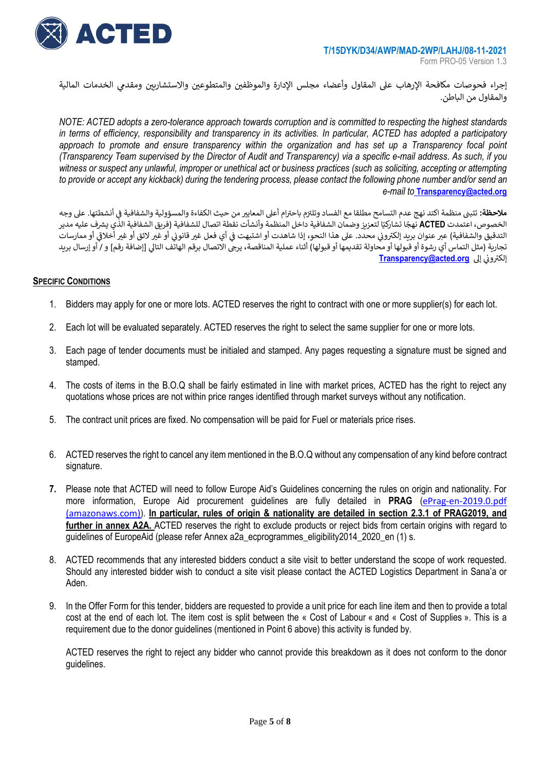

إجراء فحوصات مكافحة الإرهاب على المقاول وأعضاء مجلس الإدارة والموظفين والمتطوعين والاستشاربين ومقدمي الخدمات المالية . . والمقاول من الباطن.

*NOTE: ACTED adopts a zero-tolerance approach towards corruption and is committed to respecting the highest standards in terms of efficiency, responsibility and transparency in its activities. In particular, ACTED has adopted a participatory approach to promote and ensure transparency within the organization and has set up a Transparency focal point (Transparency Team supervised by the Director of Audit and Transparency) via a specific e-mail address*. *As such, if you witness or suspect any unlawful, improper or unethical act or business practices (such as soliciting, accepting or attempting to provide or accept any kickback) during the tendering process, please contact the following phone number and/or send an e-mail to* **[Transparency@acted.org](mailto:Transparency@acted.org)**

م**لاحظة:** تتبنى منظمة اكتد نهج عدم التسامح مطلقا مع الفساد وتلتزم باحترام أعلى المعايير من حيث الكفاءة والمسؤولية والشفافية في أنشطتها. على وجه<br>ملاح**ظة:** تتبنى منظمة اكتد نهج عدم التسامح مطلقا مع الفساد وتلتزم باحترام أعل ֧֦֧֦֧֦֧֦֧֦֧֦֧֦֧֧֦֧֧֦֧֦֧֧֦֧֚֬֜֜֓֜֜֓֜֜֞֓֡֬֜ ١ رش الخصوص، اعتمدت **ACTED** ف عليه مدير ا لتعزيز وضمان الشفافية داخل المنظمة وأنشأت نقطة اتصال للشفافية )فريق الشفافية الذي ي ً ا تشاركي نهجً ى تى محدد الشفافية) عبر عنوان بريد إلكتروني محدد. على هذا النحو، إذا شاهدت أو اشتبهت في أي فعل عير قانوني أو غير لأئق أو غير أخلاقي أو ممارسات<br>التدقيق والشفافية) عبر عنوان بريد إلكتروني محدد. على هذا النحو، إذا شاهدت أو ا ي ي ي į نجارية (مثل التماس أي رشوة أو قبولها أو محاولة تقديمها أو قبولها) أثناء عملية المناقصة، يرجى الاتصال برقم الهاتف التالي [إضافة رقم] و / أو إرسال بريد إىل وئ **[Transparency@acted.org](mailto:Transparency@acted.org)** إلكت ي

# **SPECIFIC CONDITIONS**

- 1. Bidders may apply for one or more lots. ACTED reserves the right to contract with one or more supplier(s) for each lot.
- 2. Each lot will be evaluated separately. ACTED reserves the right to select the same supplier for one or more lots.
- 3. Each page of tender documents must be initialed and stamped. Any pages requesting a signature must be signed and stamped.
- 4. The costs of items in the B.O.Q shall be fairly estimated in line with market prices, ACTED has the right to reject any quotations whose prices are not within price ranges identified through market surveys without any notification.
- 5. The contract unit prices are fixed. No compensation will be paid for Fuel or materials price rises.
- 6. ACTED reserves the right to cancel any item mentioned in the B.O.Q without any compensation of any kind before contract signature.
- **7.** Please note that ACTED will need to follow Europe Aid's Guidelines concerning the rules on origin and nationality. For more information, Europe Aid procurement guidelines are fully detailed in **PRAG** ([ePrag-en-2019.0.pdf](https://intpa-econtent-public.s3.eu-west-1.amazonaws.com/ePrag/2019.0/ePrag-en-2019.0.pdf)  [\(amazonaws.com\)](https://intpa-econtent-public.s3.eu-west-1.amazonaws.com/ePrag/2019.0/ePrag-en-2019.0.pdf)). **In particular, rules of origin & nationality are detailed in section 2.3.1 of PRAG2019, and**  further in annex A2A. ACTED reserves the right to exclude products or reject bids from certain origins with regard to guidelines of EuropeAid (please refer Annex a2a ecprogrammes eligibility2014 2020 en (1) s.
- 8. ACTED recommends that any interested bidders conduct a site visit to better understand the scope of work requested. Should any interested bidder wish to conduct a site visit please contact the ACTED Logistics Department in Sana'a or Aden.
- 9. In the Offer Form for this tender, bidders are requested to provide a unit price for each line item and then to provide a total cost at the end of each lot. The item cost is split between the « Cost of Labour « and « Cost of Supplies ». This is a requirement due to the donor guidelines (mentioned in Point 6 above) this activity is funded by.

ACTED reserves the right to reject any bidder who cannot provide this breakdown as it does not conform to the donor guidelines.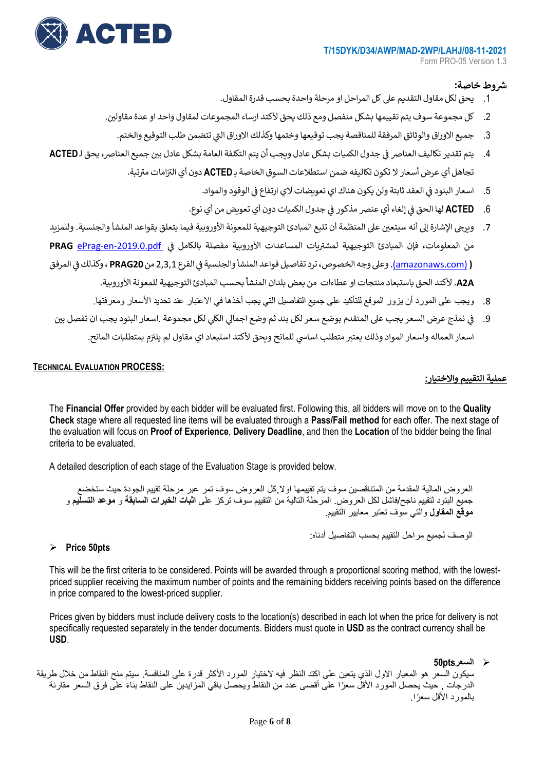

# **رشوط خاصة:**

- .1 يحق لكل مقاول التقديم عىل كل المراحل او مرحلة واحدة بحسب قدرة المقاول.
- 2. كل مجموعة سوف يتم تقييمها بشكل منفصل ومع ذلك يحق لأكتد ارساء المجموعات لمقاول واحد او عدة مقاولين. .
	- 3. جميع الاوراق والوثائق المرفقة للمناقصة يجب توقيعها وختمها وكذلك الاوراق التي تتضمن طلب التوقيع والختم.
- 4. يتم تقدير تكاليف العناصر في جدول الكميات بشكل عادل ويجب أن يتم التكلفة العامة بشكل عادل بين جميع العناصر، يحق لـ**ACTED** į تجاهل أي عرض أسعار لا تكون تكاليفه ضمن استطلاعات السوق الخاصة بـ **ACTED** دون أي التزامات مترتبة.
	- 5. اسعار البنود في العقد ثابتة ولن يكون هناك اي تعويضات لاي ارتفاع في الوقود والمواد. : ي ֦֧֦֧֦֧֦֧֦֧֦֧֦֧֧֦֧֦֧ׅ֧֦֧֚֚֡֜֜֓֜֜֓
	- 6. **ACTED ل**ها الحق في إلغاء أي عنصر مذكور في جدول الكميات دون أي تعويض من أي نوع. į ي l
- 7. ويرجى الإشارة إلى أنه سيتعين على المنظمة أن تتبع المبادئ التوجيهية للمعونة الأوروبية فيما يتعلق بقواعد المنشأ والجنسية. وللمزيد . من المعلومات، فإن المبادئ التوجيهية لمشتريات المساعدات الأوروبية مفصلة بالكامل في <mark>PRAG</mark> <u>ePrag-en-2019.0.pdf</u> ي ֦֧֦֧֦֧֦֧֦֧֦֧֦֧֦֧֦֧֦֧֦֧֦֧֦֧ׅ֦֜֜֜֜֜֞֓֡֡֬֜֓֡֬ **(** [\(com.amazonaws\(](https://intpa-econtent-public.s3.eu-west-1.amazonaws.com/ePrag/2019.0/ePrag-en-2019.0.pdf). وعىل وجه الخصوص، ترد تفاصيل قواعد المنشأ والجنسية ف الفرع 2,3,1 من **20PRAG** ، وكذلك ف المرفق ي ֦֧֦֧֦֧֦֧֦֧֦֧֦֧֧֦֧֦֧ׅ֧֦֧֚֚֡֜֜֓֜֜֓ ي ֦֧֦֧֢֦֧֦֧֦֧֦֧֜֜ **A2A**. ألكتد الحق باستبعاد منتجات او عطاءات من بعض بلدان المنشأ بحسب المبادئ التوجيهية للمعونة األوروبية.
	- 8. ويجب على المورد أن يزور الموقع للتأكيد على جميع التفاصيل التي يجب أخذها في الاعتبار عند تحديد الأسعار ومعرفتها.
	- 9. في نمذج عرض السعر يجب على المتقدم بوضع سعر لكل بند ثم وضع اجمالي الكلي لكل مجموعة .اسعار البنود يجب ان تفصل بين ي اسعار العماله واسعار المواد وذلك يعتبر متطلب اساسي للمانح ويحق لأكتد استبعاد اي مقاول لم يلتزم بمتطلبات المانح. ֚֚֚֚֡

# **TECHNICAL EVALUATION PROCESS:**

# **عملية التقييم واالختيار:**

The **Financial Offer** provided by each bidder will be evaluated first. Following this, all bidders will move on to the **Quality Check** stage where all requested line items will be evaluated through a **Pass/Fail method** for each offer. The next stage of the evaluation will focus on **Proof of Experience**, **Delivery Deadline**, and then the **Location** of the bidder being the final criteria to be evaluated.

A detailed description of each stage of the Evaluation Stage is provided below.

العروض المالية المقدمة من المتناقصين سوف يتم تقييمها اوال,كل العروض سوف تمر عبر مرحلة تقييم الجودة حيث ستخضع جميع البنود لتقييم ناجح/فاشل لكل العروض. المرحلة التالية من التقييم سوف تركز على **اثبات الخبرات السابقة** و **موعد التسليم** و **موقع المقاول** والتي سوف تعتبر معايير التقييم.

الوصف لجميع مراحل التقييم بحسب التفاصيل أدناه:

# ➢ **Price 50pts**

This will be the first criteria to be considered. Points will be awarded through a proportional scoring method, with the lowestpriced supplier receiving the maximum number of points and the remaining bidders receiving points based on the difference in price compared to the lowest-priced supplier.

Prices given by bidders must include delivery costs to the location(s) described in each lot when the price for delivery is not specifically requested separately in the tender documents. Bidders must quote in **USD** as the contract currency shall be **USD**.

➢ **السعرpts50**

سيكون السعر هو المعيار الاول الذي يتعين على اكتد النظر فيه لاختيار المورد الأكثر قدرة على المنافسة. سيتم منح النقاط من خلال طريقة الدرجات , حيث يحصل المورد الأقل سعرًا على أقصى عدد من النقاط ويحصل باقي المز ايدين على النقاط بناءً على فرق السعر مقارنة بالمورد الأقل سعرًا.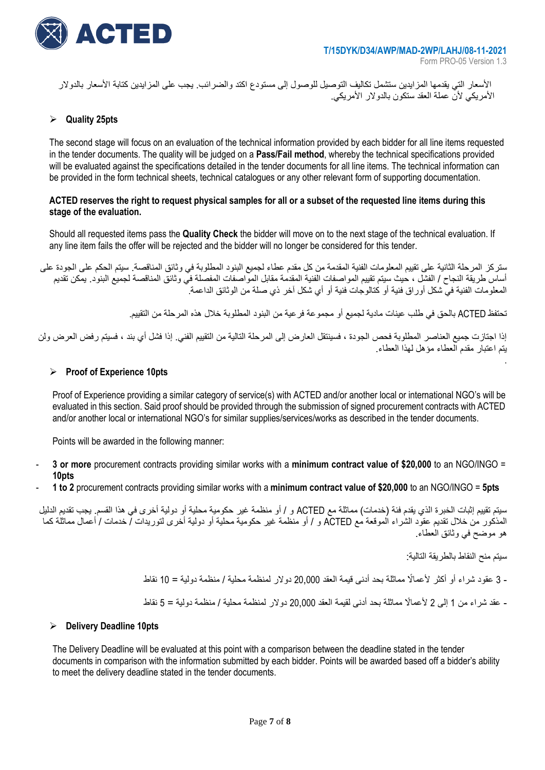

الأسعار التي يقدمها المزايدين ستشمل تكاليف التوصيل للوصول إلى مستودع اكتد والضرائب. يجب على المزايدين كتابة الأسعار بالدولار الأمريكي لأن عملة العقد ستكون بالدوالار الأمريكي.

# ➢ **Quality 25pts**

The second stage will focus on an evaluation of the technical information provided by each bidder for all line items requested in the tender documents. The quality will be judged on a **Pass/Fail method**, whereby the technical specifications provided will be evaluated against the specifications detailed in the tender documents for all line items. The technical information can be provided in the form technical sheets, technical catalogues or any other relevant form of supporting documentation.

## **ACTED reserves the right to request physical samples for all or a subset of the requested line items during this stage of the evaluation.**

Should all requested items pass the **Quality Check** the bidder will move on to the next stage of the technical evaluation. If any line item fails the offer will be rejected and the bidder will no longer be considered for this tender.

ستركز المرحلة الثانية على تقييم المعلومات الفنية المقدمة من كل مقدم عطاء لجميع البنود المطلوبة في وثائق المناقصة. سيتم الحكم على الجودة على أساس طريقة النجاح / الفشل ، حيث سيتم تقييم المواصفات الفنية المقدمة مقابل المواصفات المفصلة في وثائق المناقصة لجميع البنود. يمكن تقديم المعلومات الفنية في شكل أوراق فنية أو كتالوجات فنية أو أي شكل آخر ذي صلة من الوثائق الداعمة.

تحتفظ ACTED بالحق في طلب عينات مادية لجميع أو مجموعة فرعية من البنود المطلوبة خالل هذه المرحلة من التقييم.

إذا اجتازت جميع العناصر المطلوبة فحص الجودة ، فسينتقل العارض إلى المرحلة التالية من التقييم الفني. إذا فشل أي بند ، فسيتم رفض العرض ولن يتم اعتبار مقدم العطاء مؤهل لهذا العطاء.

# ➢ **Proof of Experience 10pts**

Proof of Experience providing a similar category of service(s) with ACTED and/or another local or international NGO's will be evaluated in this section. Said proof should be provided through the submission of signed procurement contracts with ACTED and/or another local or international NGO's for similar supplies/services/works as described in the tender documents.

Points will be awarded in the following manner:

- **3 or more** procurement contracts providing similar works with a **minimum contract value of \$20,000** to an NGO/INGO = **10pts**
- **1 to 2** procurement contracts providing similar works with a **minimum contract value of \$20,000** to an NGO/INGO = **5pts**

سيتم تقييم إثبات الخبرة الذي يقدم فئة (خدمات) مماثلة مع ACTED و / أو منظمة غير حكومية محلية أو دولية أخرى في هذا القسم. يجب تقديم الدليل المذكور من خالل تقديم عقود الشراء الموقعة مع ACTED و / أو منظمة غير حكومية محلية أو دولية أخرى لتوريدات / خدمات / أعمال مماثلة كما هو موضح في وثائق العطاء.

سيتم منح النقاط بالطريقة التالية:

.

- 3 عقود شراء أو أكثر لأعمالًا مماثلة بحد أدنى قيمة العقد 20,000 دولار لمنظمة محلية / منظمة دولية = 10 نقاط

- عقد شراء من 1 إلى 2 ألعما ًال مماثلة بحد أدنى لقيمة العقد 20,000 دوالر لمنظمة محلية / منظمة دولية = 5 نقاط

## ➢ **Delivery Deadline 10pts**

The Delivery Deadline will be evaluated at this point with a comparison between the deadline stated in the tender documents in comparison with the information submitted by each bidder. Points will be awarded based off a bidder's ability to meet the delivery deadline stated in the tender documents.